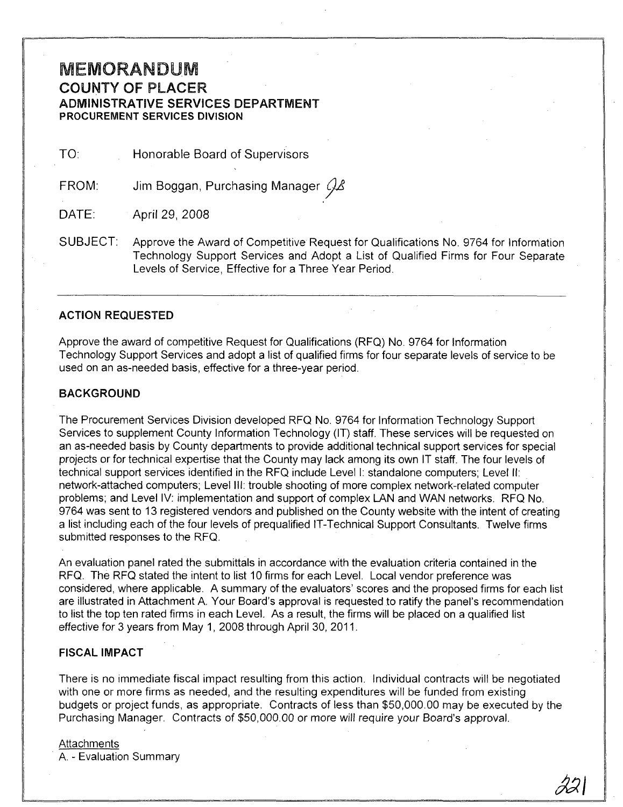# **MEMORANDUM** COUNTY OF PLACER ADMINISTRATIVE SERVICES DEPARTMENT PROCUREMENT SERVICES DIVISION

TO: Honorable Board of Supervisors

FROM: Jim Boggan, Purchasing Manager  $\mathcal{G}_{\mathcal{A}}$ 

DATE: April 29, 2008

SUBJECT: Approve the Award of Competitive Request for Qualifications No. 9764 for Information Technology Support Services and Adopt a List of Qualified Firms for Four Separate Levels of Service, Effective for a Three Year Period.

## ACTION REQUESTED

Approve the award of competitive Request for Qualifications (RFQ) No. 9764 for Information Technology Support Services and adopt a list of qualified firms for four separate levels of service to be used on an as-needed basis, effective for a three-year period.

#### BACKGROUND

The Procurement Services Division developed RFQ No. 9764 for Information Technology Support Services to supplement County Information Technology (IT) staff. These services will be requested on an as-needed basis by County departments to provide additional technical support services for special projects or for technical expertise that the County may lack among its own IT staff. The four levels of technical support services identified in the RFQ include Levell: standalone computers; Level II: network-attached computers; Level III: trouble shooting of more complex network-related computer problems; and Level IV: implementation and support of complex LAN and WAN networks. RFQ No. 9764 was sent to 13 registered vendors and published on the County website with the intent of creating a list including each of the four levels of prequalified IT-Technical Support Consultants. Twelve firms submitted responses to the RFQ.

An evaluation panel rated the submittals in accordance with the evaluation criteria contained in the RFQ. The RFQ stated the intent to list 10 firms for each Level. Local vendor preference was considered, where applicable. A summary of the evaluators' scores and the proposed firms for each list are illustrated in Attachment A. Your Board's approval is requested to ratify the panel's recommendation to list the top ten rated firms in each Level. As a result, the firms will be placed on a qualified list effective for 3 years from May 1, 2008 through April 30, 2011.

#### FISCAL IMPACT

There is no immediate fiscal impact resulting from this action. Individual contracts will be negotiated with one or more firms as needed, and the resulting expenditures will be funded from existing budgets or project funds, as appropriate. Contracts of less than \$50,000.00 may be executed by the Purchasing Manager. Contracts of \$50,000.00 or more will require your Board's approval.

#### **Attachments**

A. - Evaluation Summary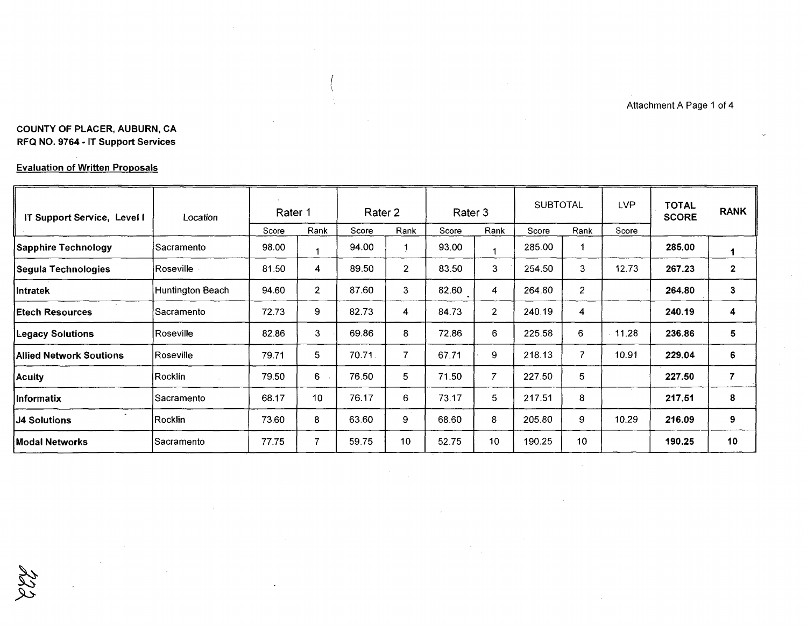Attachment A Page 1 of 4

# COUNTY OF PLACER, AUBURN, CA RFQ NO. 9764· IT Support Services

## Evaluation of Written Proposals

| IT Support Service, Level I    | Location                | Rater 1 |                | Rater 2 |                | Rater 3 |                | <b>SUBTOTAL</b> |                | <b>LVP</b> | TOTAL<br><b>SCORE</b> | <b>RANK</b>  |
|--------------------------------|-------------------------|---------|----------------|---------|----------------|---------|----------------|-----------------|----------------|------------|-----------------------|--------------|
|                                |                         | Score   | Rank           | Score   | Rank           | Score   | Rank           | Score           | Rank           | Score      |                       |              |
| <b>Sapphire Technology</b>     | lSacramento             | 98.00   | 1              | 94.00   |                | 93.00   | 1              | 285.00          |                |            | 285.00                | 1            |
| Segula Technologies            | Roseville               | 81.50   | 4              | 89.50   | $\overline{2}$ | 83.50   | 3              | 254.50          | 3              | 12.73      | 267.23                | $\mathbf{2}$ |
| <b>Intratek</b>                | <b>Huntington Beach</b> | 94.60   | $\overline{2}$ | 87.60   | 3              | 82.60   | 4              | 264.80          | $\overline{2}$ |            | 264.80                | 3            |
| <b>Etech Resources</b>         | Sacramento              | 72.73   | 9              | 82.73   | 4              | 84.73   | $\overline{2}$ | 240.19          | 4              |            | 240.19                | 4            |
| <b>Legacy Solutions</b>        | Roseville               | 82.86   | 3              | 69.86   | 8              | 72.86   | 6              | 225.58          | 6              | 11.28      | 236.86                | 5            |
| <b>Allied Network Soutions</b> | Roseville               | 79.71   | 5              | 70.71   | $\overline{7}$ | 67.71   | 9              | 218.13          | $\overline{7}$ | 10.91      | 229.04                | 6            |
| Acuity                         | [Rocklin]               | 79.50   | 6              | 76.50   | 5              | 71.50   | $\overline{7}$ | 227.50          | 5              |            | 227.50                | 7            |
| Informatix                     | Sacramento              | 68.17   | 10             | 76.17   | 6              | 73.17   | 5              | 217.51          | 8              |            | 217.51                | 8            |
| <b>J4 Solutions</b>            | Rocklin                 | 73.60   | 8              | 63.60   | 9              | 68.60   | 8              | 205.80          | 9              | 10.29      | 216.09                | 9            |
| Modal Networks                 | ∣Sacramento             | 77.75   | 7              | 59.75   | 10             | 52.75   | 10             | 190.25          | 10             |            | 190.25                | 10           |

ككر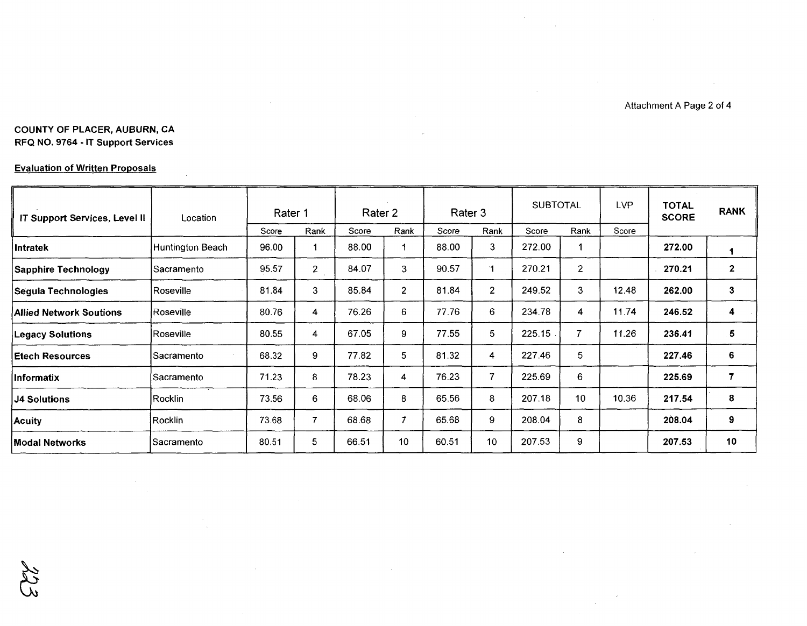Attachment A Page 2 of 4

 $\sim$ 

## **COUNTY OF PLACER, AUBURN, CA RFQ NO. 9764 . IT Support Services**

## **Evaluation of Written Proposals**

| IT Support Services, Level II  | Location         |       | <b>SUBTOTAL</b><br>Rater 3<br>Rater 2<br>Rater 1 |       |                | LVP.<br><b>TOTAL</b><br><b>SCORE</b> |                | <b>RANK</b> |                |       |        |              |
|--------------------------------|------------------|-------|--------------------------------------------------|-------|----------------|--------------------------------------|----------------|-------------|----------------|-------|--------|--------------|
|                                |                  | Score | Rank                                             | Score | Rank           | Score                                | Rank           | Score       | Rank           | Score |        |              |
| <b>Intratek</b>                | Huntington Beach | 96.00 |                                                  | 88.00 |                | 88.00                                | 3              | 272.00      |                |       | 272.00 |              |
| <b>Sapphire Technology</b>     | lSacramento      | 95.57 | $\overline{c}$                                   | 84.07 | 3              | 90.57                                | 1.             | 270.21      | $\overline{2}$ |       | 270.21 | $\mathbf{2}$ |
| Segula Technologies            | Roseville        | 81.84 | 3                                                | 85.84 | $\overline{2}$ | 81.84                                | $\overline{2}$ | 249.52      | 3              | 12.48 | 262.00 | 3            |
| <b>Allied Network Soutions</b> | Roseville        | 80.76 | 4                                                | 76.26 | 6              | 77.76                                | 6              | 234.78      | 4              | 11.74 | 246.52 | 4            |
| <b>Legacy Solutions</b>        | Roseville_       | 80.55 | 4                                                | 67.05 | 9              | 77.55                                | 5.             | 225.15      | 7              | 11.26 | 236.41 | 5            |
| lEtech Resources               | Sacramento_      | 68.32 | 9                                                | 77.82 | 5              | 81.32                                | 4              | 227.46      | 5              |       | 227.46 | 6            |
| <b>Informatix</b>              | Sacramento       | 71.23 | 8                                                | 78.23 | 4              | 76.23                                | 7              | 225.69      | 6              |       | 225.69 | 7            |
| <b>J4 Solutions</b>            | IRocklin.        | 73.56 | 6                                                | 68.06 | 8              | 65.56                                | 8              | 207.18      | 10             | 10.36 | 217.54 | 8            |
| <b>Acuity</b>                  | Rocklin          | 73.68 | 7                                                | 68.68 | $\overline{7}$ | 65.68                                | 9              | 208.04      | 8              |       | 208.04 | 9            |
| <b>Modal Networks</b>          | Sacramento       | 80.51 | 5.                                               | 66.51 | 10             | 60.51                                | 10             | 207.53      | 9              |       | 207.53 | 10           |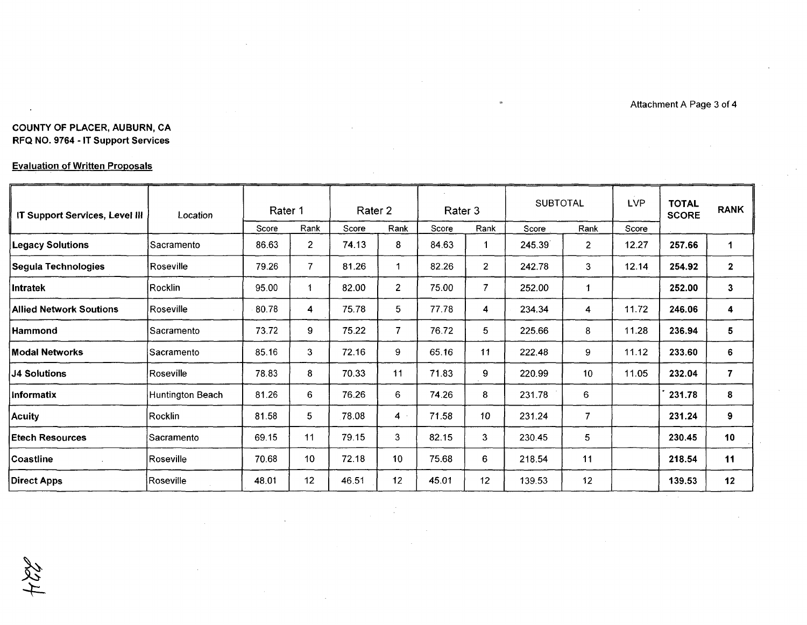Attachment A Page 3 of 4

## COUNTY OF PLACER, AUBURN, CA RFQ NO. 9764 - IT Support Services

## Evaluation of Written Proposals

 $\sim$ 

 $484$ 

| <b>IT Support Services, Level III</b> | Location          | Rater 1 |                | Rater 2 |                 | Rater 3 |                  | <b>SUBTOTAL</b> |                | <b>LVP</b> | <b>TOTAL</b><br><b>SCORE</b> | <b>RANK</b>          |
|---------------------------------------|-------------------|---------|----------------|---------|-----------------|---------|------------------|-----------------|----------------|------------|------------------------------|----------------------|
|                                       |                   | Score   | Rank           | Score   | Rank            | Score   | Rank             | Score           | Rank           | Score      |                              |                      |
| <b>Legacy Solutions</b>               | Sacramento        | 86.63   | $\overline{2}$ | 74.13   | 8               | 84.63   |                  | 245.39          | $\overline{2}$ | 12.27      | 257.66                       | $\blacktriangleleft$ |
| Segula Technologies                   | Roseville         | 79.26   | $\overline{7}$ | 81.26   |                 | 82.26   | $\overline{2}$   | 242.78          | 3              | 12.14      | 254.92                       | $\mathbf{2}$         |
| <b>Intratek</b>                       | <b>IRocklin</b>   | 95.00   | 1              | 82.00   | $\overline{2}$  | 75.00   | $\overline{7}$   | 252.00          |                |            | 252.00                       | $\mathbf{3}$         |
| Allied Network Soutions               | Roseville         | 80.78   | 4              | 75.78   | 5               | 77.78   | 4                | 234.34          | 4              | 11.72      | 246.06                       | 4                    |
| <b>Hammond</b>                        | <b>Sacramento</b> | 73.72   | 9              | 75.22   | $\overline{7}$  | 76.72   | 5                | 225.66          | 8              | 11.28      | 236.94                       | 5                    |
| Modal Networks                        | Sacramento        | 85.16   | 3              | 72.16   | 9               | 65.16   | 11               | 222.48          | 9              | 11.12      | 233.60                       | 6                    |
| <b>J4 Solutions</b>                   | Roseville         | 78.83   | 8              | 70.33   | 11              | 71.83   | 9                | 220.99          | 10             | 11.05      | 232.04                       | $\overline{7}$       |
| <b>Informatix</b>                     | Huntington Beach  | 81.26   | 6              | 76.26   | 6               | 74.26   | 8                | 231.78          | 6              |            | 231.78                       | 8                    |
| <b>Acuity</b>                         | Rocklin           | 81.58   | 5              | 78.08   | $4 -$           | 71.58   | 10 <sup>10</sup> | 231.24          | $\mathcal{I}$  |            | 231.24                       | 9                    |
| <b>Etech Resources</b>                | Sacramento        | 69.15   | 11             | 79.15   | 3               | 82.15   | 3                | 230.45          | 5              |            | 230.45                       | 10                   |
| Coastline                             | Roseville         | 70.68   | 10             | 72.18   | 10 <sup>°</sup> | 75.68   | 6                | 218.54          | 11             |            | 218.54                       | 11                   |
| <b>Direct Apps</b>                    | Roseville         | 48.01   | 12             | 46.51   | 12              | 45.01   | 12               | 139.53          | 12             |            | 139.53                       | 12                   |

 $\,$   $\,$